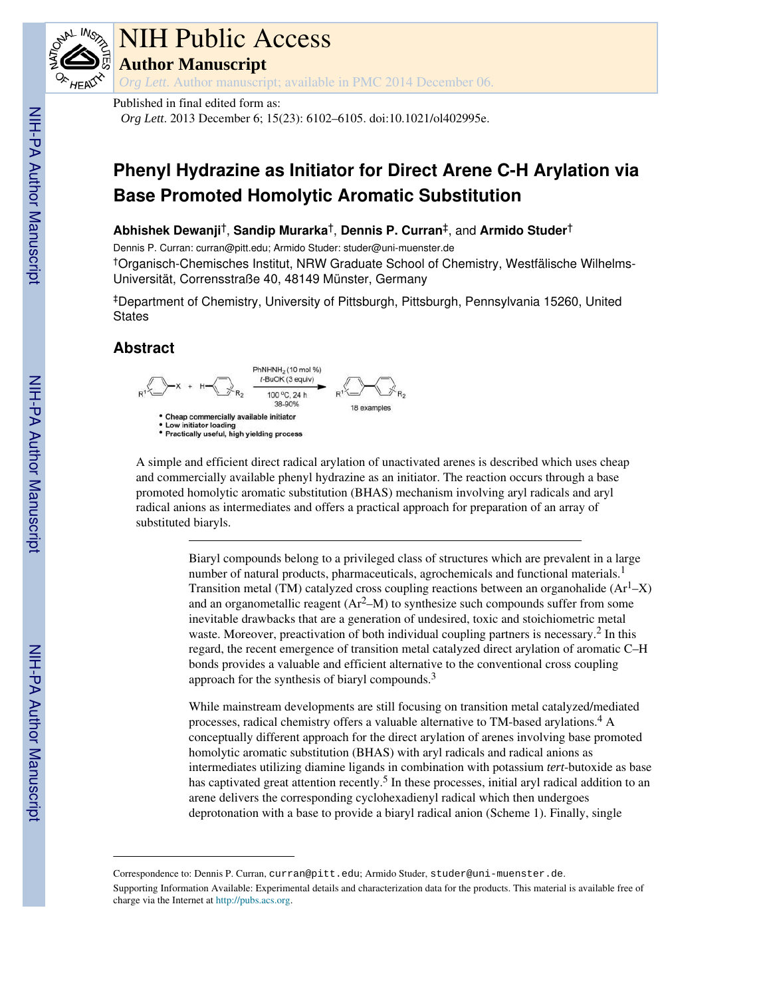

# NIH Public Access

**Author Manuscript**

*Org Lett*. Author manuscript; available in PMC 2014 December 06.

Published in final edited form as:

*Org Lett*. 2013 December 6; 15(23): 6102–6105. doi:10.1021/ol402995e.

## **Phenyl Hydrazine as Initiator for Direct Arene C-H Arylation via Base Promoted Homolytic Aromatic Substitution**

#### **Abhishek Dewanji**†, **Sandip Murarka**†, **Dennis P. Curran**‡, and **Armido Studer**†

Dennis P. Curran: curran@pitt.edu; Armido Studer: studer@uni-muenster.de †Organisch-Chemisches Institut, NRW Graduate School of Chemistry, Westfälische Wilhelms-Universität, Corrensstraße 40, 48149 Münster, Germany

‡Department of Chemistry, University of Pittsburgh, Pittsburgh, Pennsylvania 15260, United **States** 

### **Abstract**



A simple and efficient direct radical arylation of unactivated arenes is described which uses cheap and commercially available phenyl hydrazine as an initiator. The reaction occurs through a base promoted homolytic aromatic substitution (BHAS) mechanism involving aryl radicals and aryl radical anions as intermediates and offers a practical approach for preparation of an array of substituted biaryls.

> Biaryl compounds belong to a privileged class of structures which are prevalent in a large number of natural products, pharmaceuticals, agrochemicals and functional materials.<sup>1</sup> Transition metal (TM) catalyzed cross coupling reactions between an organohalide  $(Ar^1-X)$ and an organometallic reagent  $(Ar^2-M)$  to synthesize such compounds suffer from some inevitable drawbacks that are a generation of undesired, toxic and stoichiometric metal waste. Moreover, preactivation of both individual coupling partners is necessary.<sup>2</sup> In this regard, the recent emergence of transition metal catalyzed direct arylation of aromatic C–H bonds provides a valuable and efficient alternative to the conventional cross coupling approach for the synthesis of biaryl compounds.<sup>3</sup>

> While mainstream developments are still focusing on transition metal catalyzed/mediated processes, radical chemistry offers a valuable alternative to TM-based arylations.<sup>4</sup> A conceptually different approach for the direct arylation of arenes involving base promoted homolytic aromatic substitution (BHAS) with aryl radicals and radical anions as intermediates utilizing diamine ligands in combination with potassium *tert*-butoxide as base has captivated great attention recently.<sup>5</sup> In these processes, initial aryl radical addition to an arene delivers the corresponding cyclohexadienyl radical which then undergoes deprotonation with a base to provide a biaryl radical anion (Scheme 1). Finally, single

Correspondence to: Dennis P. Curran, curran@pitt.edu; Armido Studer, studer@uni-muenster.de. Supporting Information Available: Experimental details and characterization data for the products. This material is available free of charge via the Internet at http://pubs.acs.org.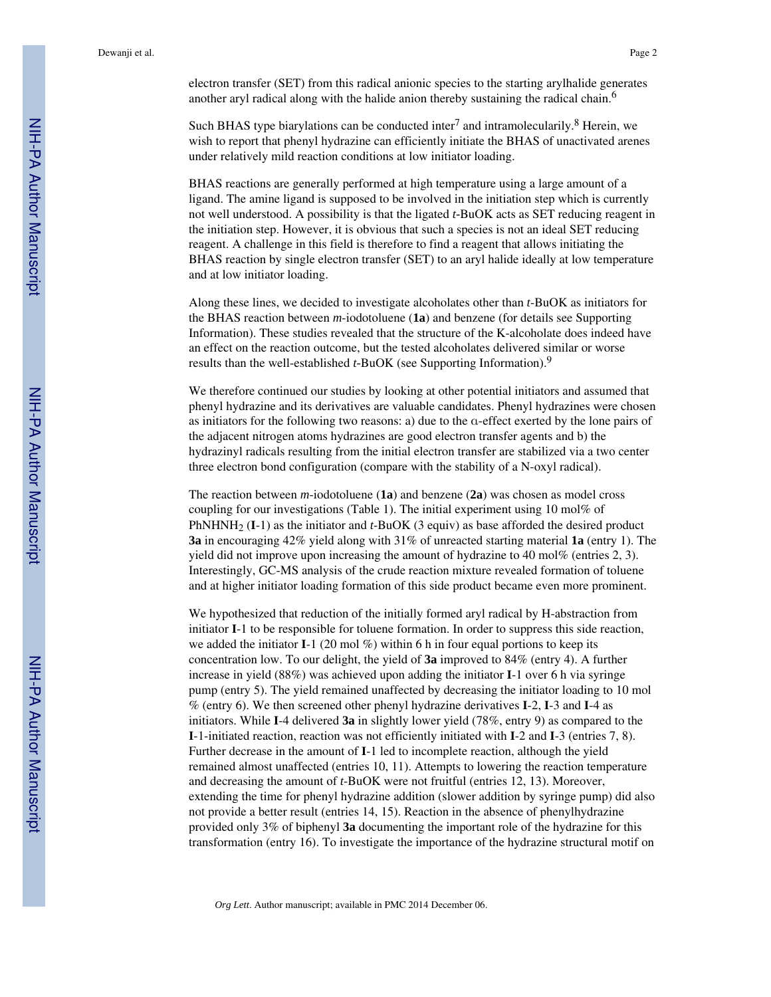electron transfer (SET) from this radical anionic species to the starting arylhalide generates another aryl radical along with the halide anion thereby sustaining the radical chain.<sup>6</sup>

Such BHAS type biarylations can be conducted inter<sup>7</sup> and intramolecularily.<sup>8</sup> Herein, we wish to report that phenyl hydrazine can efficiently initiate the BHAS of unactivated arenes under relatively mild reaction conditions at low initiator loading.

BHAS reactions are generally performed at high temperature using a large amount of a ligand. The amine ligand is supposed to be involved in the initiation step which is currently not well understood. A possibility is that the ligated *t-*BuOK acts as SET reducing reagent in the initiation step. However, it is obvious that such a species is not an ideal SET reducing reagent. A challenge in this field is therefore to find a reagent that allows initiating the BHAS reaction by single electron transfer (SET) to an aryl halide ideally at low temperature and at low initiator loading.

Along these lines, we decided to investigate alcoholates other than *t*-BuOK as initiators for the BHAS reaction between *m*-iodotoluene (**1a**) and benzene (for details see Supporting Information). These studies revealed that the structure of the K-alcoholate does indeed have an effect on the reaction outcome, but the tested alcoholates delivered similar or worse results than the well-established *t-*BuOK (see Supporting Information).<sup>9</sup>

We therefore continued our studies by looking at other potential initiators and assumed that phenyl hydrazine and its derivatives are valuable candidates. Phenyl hydrazines were chosen as initiators for the following two reasons: a) due to the α-effect exerted by the lone pairs of the adjacent nitrogen atoms hydrazines are good electron transfer agents and b) the hydrazinyl radicals resulting from the initial electron transfer are stabilized via a two center three electron bond configuration (compare with the stability of a N-oxyl radical).

The reaction between *m*-iodotoluene (**1a**) and benzene (**2a**) was chosen as model cross coupling for our investigations (Table 1). The initial experiment using 10 mol% of PhNHNH2 (**I**-1) as the initiator and *t*-BuOK (3 equiv) as base afforded the desired product **3a** in encouraging 42% yield along with 31% of unreacted starting material **1a** (entry 1). The yield did not improve upon increasing the amount of hydrazine to 40 mol% (entries 2, 3). Interestingly, GC-MS analysis of the crude reaction mixture revealed formation of toluene and at higher initiator loading formation of this side product became even more prominent.

We hypothesized that reduction of the initially formed aryl radical by H-abstraction from initiator **I**-1 to be responsible for toluene formation. In order to suppress this side reaction, we added the initiator **I**-1 (20 mol %) within 6 h in four equal portions to keep its concentration low. To our delight, the yield of **3a** improved to 84% (entry 4). A further increase in yield (88%) was achieved upon adding the initiator **I**-1 over 6 h via syringe pump (entry 5). The yield remained unaffected by decreasing the initiator loading to 10 mol % (entry 6). We then screened other phenyl hydrazine derivatives **I**-2, **I**-3 and **I**-4 as initiators. While **I**-4 delivered **3a** in slightly lower yield (78%, entry 9) as compared to the **I**-1-initiated reaction, reaction was not efficiently initiated with **I**-2 and **I**-3 (entries 7, 8). Further decrease in the amount of **I**-1 led to incomplete reaction, although the yield remained almost unaffected (entries 10, 11). Attempts to lowering the reaction temperature and decreasing the amount of *t*-BuOK were not fruitful (entries 12, 13). Moreover, extending the time for phenyl hydrazine addition (slower addition by syringe pump) did also not provide a better result (entries 14, 15). Reaction in the absence of phenylhydrazine provided only 3% of biphenyl **3a** documenting the important role of the hydrazine for this transformation (entry 16). To investigate the importance of the hydrazine structural motif on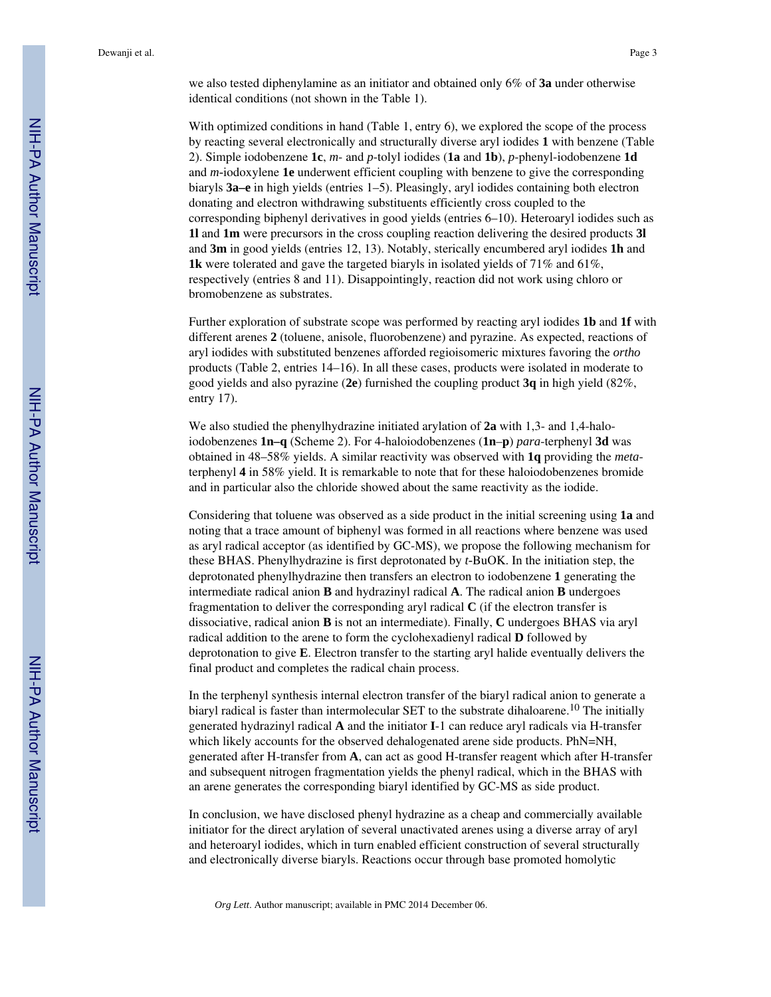we also tested diphenylamine as an initiator and obtained only 6% of **3a** under otherwise identical conditions (not shown in the Table 1).

With optimized conditions in hand (Table 1, entry 6), we explored the scope of the process by reacting several electronically and structurally diverse aryl iodides **1** with benzene (Table 2). Simple iodobenzene **1c**, *m*- and *p*-tolyl iodides (**1a** and **1b**), *p*-phenyl-iodobenzene **1d** and *m-*iodoxylene **1e** underwent efficient coupling with benzene to give the corresponding biaryls **3a–e** in high yields (entries 1–5). Pleasingly, aryl iodides containing both electron donating and electron withdrawing substituents efficiently cross coupled to the corresponding biphenyl derivatives in good yields (entries 6–10). Heteroaryl iodides such as **1l** and **1m** were precursors in the cross coupling reaction delivering the desired products **3l** and **3m** in good yields (entries 12, 13). Notably, sterically encumbered aryl iodides **1h** and **1k** were tolerated and gave the targeted biaryls in isolated yields of 71% and 61%, respectively (entries 8 and 11). Disappointingly, reaction did not work using chloro or bromobenzene as substrates.

Further exploration of substrate scope was performed by reacting aryl iodides **1b** and **1f** with different arenes **2** (toluene, anisole, fluorobenzene) and pyrazine. As expected, reactions of aryl iodides with substituted benzenes afforded regioisomeric mixtures favoring the *ortho* products (Table 2, entries 14–16). In all these cases, products were isolated in moderate to good yields and also pyrazine (**2e**) furnished the coupling product **3q** in high yield (82%, entry 17).

We also studied the phenylhydrazine initiated arylation of **2a** with 1,3- and 1,4-haloiodobenzenes **1n–q** (Scheme 2). For 4-haloiodobenzenes (**1n**–**p**) *para*-terphenyl **3d** was obtained in 48–58% yields. A similar reactivity was observed with **1q** providing the *meta*terphenyl **4** in 58% yield. It is remarkable to note that for these haloiodobenzenes bromide and in particular also the chloride showed about the same reactivity as the iodide.

Considering that toluene was observed as a side product in the initial screening using **1a** and noting that a trace amount of biphenyl was formed in all reactions where benzene was used as aryl radical acceptor (as identified by GC-MS), we propose the following mechanism for these BHAS. Phenylhydrazine is first deprotonated by *t-*BuOK. In the initiation step, the deprotonated phenylhydrazine then transfers an electron to iodobenzene **1** generating the intermediate radical anion **B** and hydrazinyl radical **A**. The radical anion **B** undergoes fragmentation to deliver the corresponding aryl radical **C** (if the electron transfer is dissociative, radical anion **B** is not an intermediate). Finally, **C** undergoes BHAS via aryl radical addition to the arene to form the cyclohexadienyl radical **D** followed by deprotonation to give **E**. Electron transfer to the starting aryl halide eventually delivers the final product and completes the radical chain process.

In the terphenyl synthesis internal electron transfer of the biaryl radical anion to generate a biaryl radical is faster than intermolecular SET to the substrate dihaloarene.<sup>10</sup> The initially generated hydrazinyl radical **A** and the initiator **I**-1 can reduce aryl radicals via H-transfer which likely accounts for the observed dehalogenated arene side products. PhN=NH, generated after H-transfer from **A**, can act as good H-transfer reagent which after H-transfer and subsequent nitrogen fragmentation yields the phenyl radical, which in the BHAS with an arene generates the corresponding biaryl identified by GC-MS as side product.

In conclusion, we have disclosed phenyl hydrazine as a cheap and commercially available initiator for the direct arylation of several unactivated arenes using a diverse array of aryl and heteroaryl iodides, which in turn enabled efficient construction of several structurally and electronically diverse biaryls. Reactions occur through base promoted homolytic

*Org Lett*. Author manuscript; available in PMC 2014 December 06.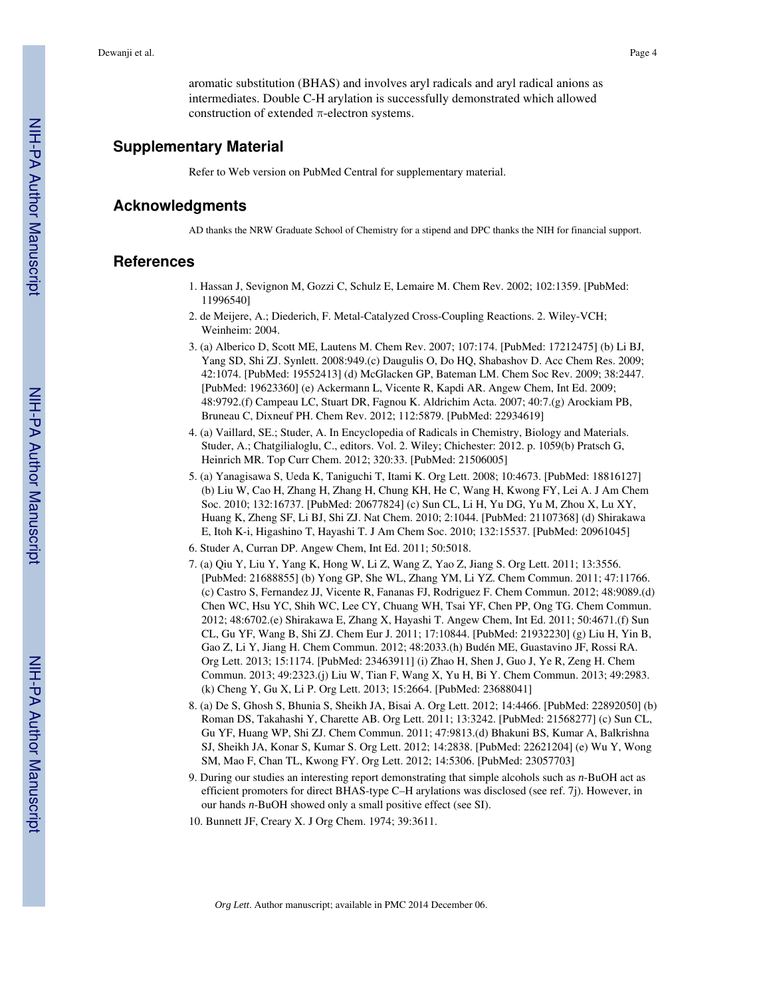aromatic substitution (BHAS) and involves aryl radicals and aryl radical anions as intermediates. Double C-H arylation is successfully demonstrated which allowed construction of extended  $\pi$ -electron systems.

#### **Supplementary Material**

Refer to Web version on PubMed Central for supplementary material.

#### **Acknowledgments**

AD thanks the NRW Graduate School of Chemistry for a stipend and DPC thanks the NIH for financial support.

#### **References**

- 1. Hassan J, Sevignon M, Gozzi C, Schulz E, Lemaire M. Chem Rev. 2002; 102:1359. [PubMed: 11996540]
- 2. de Meijere, A.; Diederich, F. Metal-Catalyzed Cross-Coupling Reactions. 2. Wiley-VCH; Weinheim: 2004.
- 3. (a) Alberico D, Scott ME, Lautens M. Chem Rev. 2007; 107:174. [PubMed: 17212475] (b) Li BJ, Yang SD, Shi ZJ. Synlett. 2008:949.(c) Daugulis O, Do HQ, Shabashov D. Acc Chem Res. 2009; 42:1074. [PubMed: 19552413] (d) McGlacken GP, Bateman LM. Chem Soc Rev. 2009; 38:2447. [PubMed: 19623360] (e) Ackermann L, Vicente R, Kapdi AR. Angew Chem, Int Ed. 2009; 48:9792.(f) Campeau LC, Stuart DR, Fagnou K. Aldrichim Acta. 2007; 40:7.(g) Arockiam PB, Bruneau C, Dixneuf PH. Chem Rev. 2012; 112:5879. [PubMed: 22934619]
- 4. (a) Vaillard, SE.; Studer, A. In Encyclopedia of Radicals in Chemistry, Biology and Materials. Studer, A.; Chatgilialoglu, C., editors. Vol. 2. Wiley; Chichester: 2012. p. 1059(b) Pratsch G, Heinrich MR. Top Curr Chem. 2012; 320:33. [PubMed: 21506005]
- 5. (a) Yanagisawa S, Ueda K, Taniguchi T, Itami K. Org Lett. 2008; 10:4673. [PubMed: 18816127] (b) Liu W, Cao H, Zhang H, Zhang H, Chung KH, He C, Wang H, Kwong FY, Lei A. J Am Chem Soc. 2010; 132:16737. [PubMed: 20677824] (c) Sun CL, Li H, Yu DG, Yu M, Zhou X, Lu XY, Huang K, Zheng SF, Li BJ, Shi ZJ. Nat Chem. 2010; 2:1044. [PubMed: 21107368] (d) Shirakawa E, Itoh K-i, Higashino T, Hayashi T. J Am Chem Soc. 2010; 132:15537. [PubMed: 20961045]
- 6. Studer A, Curran DP. Angew Chem, Int Ed. 2011; 50:5018.
- 7. (a) Qiu Y, Liu Y, Yang K, Hong W, Li Z, Wang Z, Yao Z, Jiang S. Org Lett. 2011; 13:3556. [PubMed: 21688855] (b) Yong GP, She WL, Zhang YM, Li YZ. Chem Commun. 2011; 47:11766. (c) Castro S, Fernandez JJ, Vicente R, Fananas FJ, Rodriguez F. Chem Commun. 2012; 48:9089.(d) Chen WC, Hsu YC, Shih WC, Lee CY, Chuang WH, Tsai YF, Chen PP, Ong TG. Chem Commun. 2012; 48:6702.(e) Shirakawa E, Zhang X, Hayashi T. Angew Chem, Int Ed. 2011; 50:4671.(f) Sun CL, Gu YF, Wang B, Shi ZJ. Chem Eur J. 2011; 17:10844. [PubMed: 21932230] (g) Liu H, Yin B, Gao Z, Li Y, Jiang H. Chem Commun. 2012; 48:2033.(h) Budén ME, Guastavino JF, Rossi RA. Org Lett. 2013; 15:1174. [PubMed: 23463911] (i) Zhao H, Shen J, Guo J, Ye R, Zeng H. Chem Commun. 2013; 49:2323.(j) Liu W, Tian F, Wang X, Yu H, Bi Y. Chem Commun. 2013; 49:2983. (k) Cheng Y, Gu X, Li P. Org Lett. 2013; 15:2664. [PubMed: 23688041]
- 8. (a) De S, Ghosh S, Bhunia S, Sheikh JA, Bisai A. Org Lett. 2012; 14:4466. [PubMed: 22892050] (b) Roman DS, Takahashi Y, Charette AB. Org Lett. 2011; 13:3242. [PubMed: 21568277] (c) Sun CL, Gu YF, Huang WP, Shi ZJ. Chem Commun. 2011; 47:9813.(d) Bhakuni BS, Kumar A, Balkrishna SJ, Sheikh JA, Konar S, Kumar S. Org Lett. 2012; 14:2838. [PubMed: 22621204] (e) Wu Y, Wong SM, Mao F, Chan TL, Kwong FY. Org Lett. 2012; 14:5306. [PubMed: 23057703]
- 9. During our studies an interesting report demonstrating that simple alcohols such as *n*-BuOH act as efficient promoters for direct BHAS-type C–H arylations was disclosed (see ref. 7j). However, in our hands *n*-BuOH showed only a small positive effect (see SI).
- 10. Bunnett JF, Creary X. J Org Chem. 1974; 39:3611.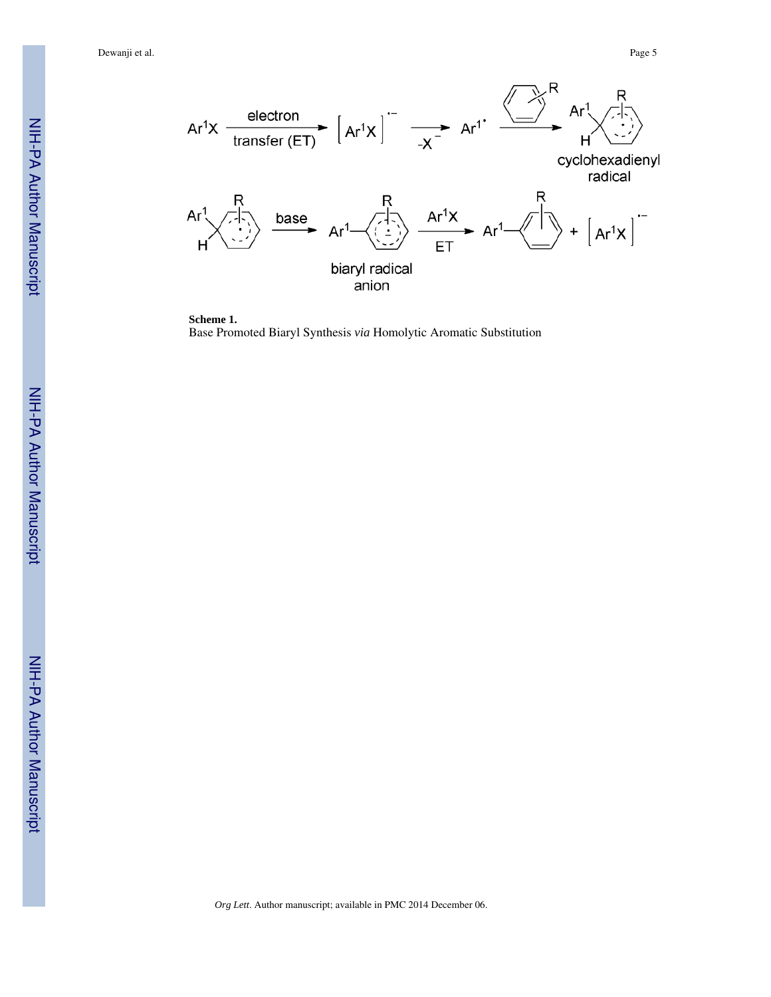Dewanji et al. Page 5





**Scheme 1.** Base Promoted Biaryl Synthesis *via* Homolytic Aromatic Substitution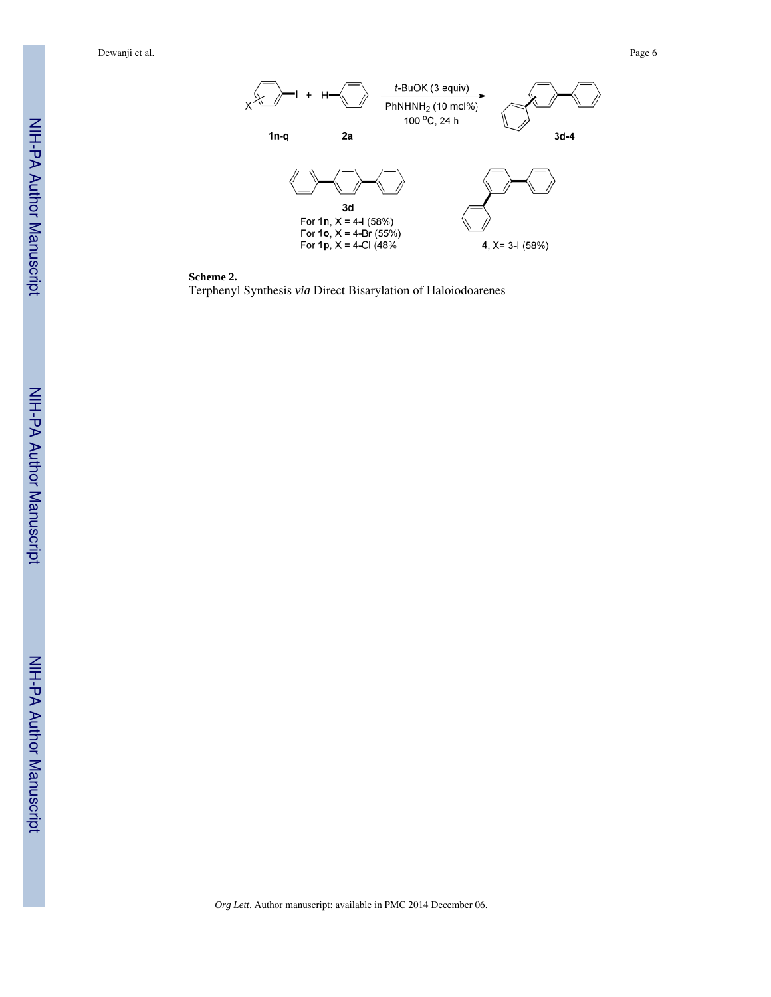Dewanji et al. Page 6





Terphenyl Synthesis *via* Direct Bisarylation of Haloiodoarenes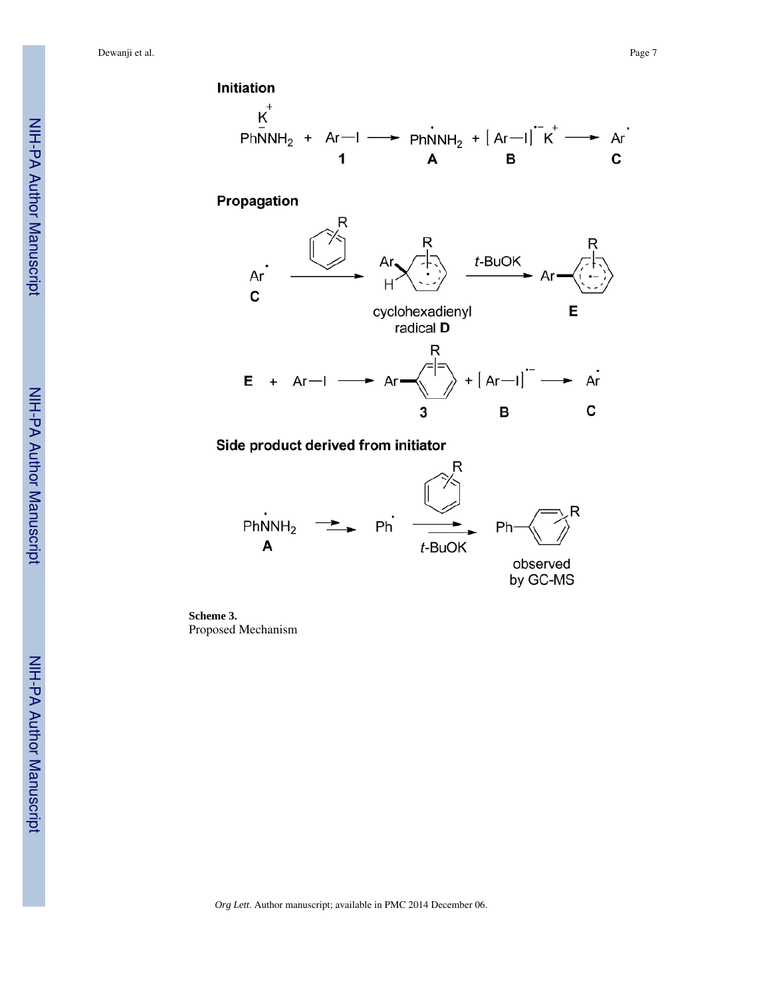Dewanji et al. Page 7



Propagation



Side product derived from initiator



**Scheme 3.** Proposed Mechanism

NIH-PA Author Manuscript

NIH-PA Author Manuscript

*Org Lett*. Author manuscript; available in PMC 2014 December 06.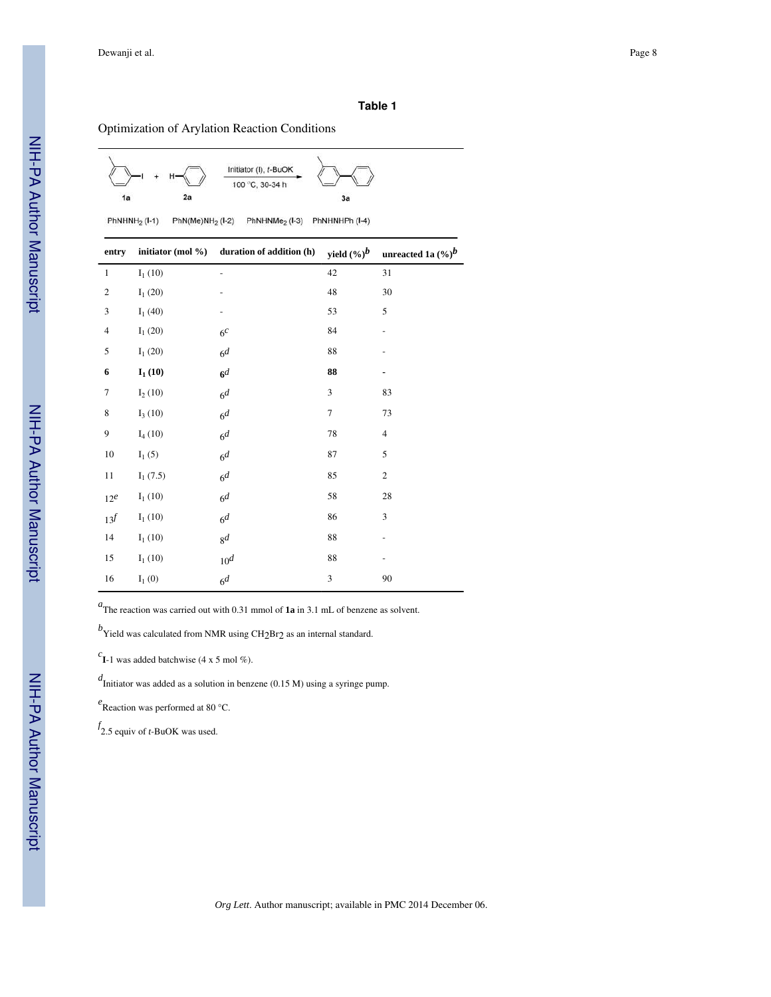#### **Table 1**

#### Optimization of Arylation Reaction Conditions



 $PhNHNH<sub>2</sub> (I-1)$  $PhN(Me)NH<sub>2</sub> (I-2)$ PhNHNMe<sub>2</sub> (I-3) PhNHNHPh (I-4)

| entry           |                              | initiator (mol %) duration of addition (h) | yield $(\%)^b$ | unreacted 1a $(\%)^b$ |
|-----------------|------------------------------|--------------------------------------------|----------------|-----------------------|
| $\mathbf{1}$    | $I_1(10)$                    |                                            | 42             | 31                    |
| $\sqrt{2}$      | $I_1(20)$                    |                                            | 48             | 30                    |
| $\mathfrak z$   | $I_1(40)$                    |                                            | 53             | 5                     |
| $\overline{4}$  | ${\rm I}_1\left( 20 \right)$ | 6 <sup>c</sup>                             | 84             |                       |
| 5               | $I_1(20)$                    | 6 <sup>d</sup>                             | 88             |                       |
| 6               | ${\bf I_1}$ (10)             | 6 <sup>d</sup>                             | 88             | ۰                     |
| $\tau$          | $I_2(10)$                    | 6 <sup>d</sup>                             | 3              | 83                    |
| $\,$ 8 $\,$     | $I_3(10)$                    | 6 <sup>d</sup>                             | $\tau$         | 73                    |
| 9               | $I_4(10)$                    | 6 <sup>d</sup>                             | $78\,$         | $\overline{4}$        |
| 10              | $I_1(5)$                     | 6 <sup>d</sup>                             | 87             | 5                     |
| 11              | $I_1(7.5)$                   | 6 <sup>d</sup>                             | 85             | $\sqrt{2}$            |
| 12 <sup>e</sup> | $I_1(10)$                    | 6 <sup>d</sup>                             | 58             | 28                    |
| $13^f\,$        | $I_1(10)$                    | 6 <sup>d</sup>                             | 86             | $\mathfrak{Z}$        |
| 14              | $I_1(10)$                    | 8 <sup>d</sup>                             | 88             |                       |
| 15              | $I_1(10)$                    | 10 <sup>d</sup>                            | 88             |                       |
| 16              | $I_1(0)$                     | 6 <sup>d</sup>                             | 3              | 90                    |

*a* The reaction was carried out with 0.31 mmol of **1a** in 3.1 mL of benzene as solvent.

 $^b$ Yield was calculated from NMR using CH<sub>2</sub>Br<sub>2</sub> as an internal standard.

 $c_{\mathbf{I}-1}$  was added batchwise (4 x 5 mol %).

*d* Initiator was added as a solution in benzene (0.15 M) using a syringe pump.

*e* Reaction was performed at 80 °C.

*f* 2.5 equiv of *t*-BuOK was used.